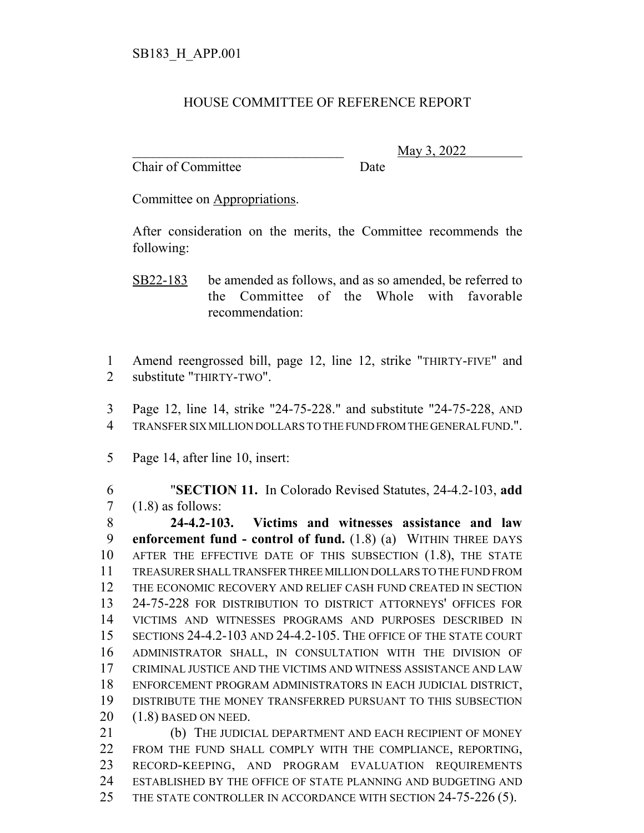## HOUSE COMMITTEE OF REFERENCE REPORT

Chair of Committee Date

\_\_\_\_\_\_\_\_\_\_\_\_\_\_\_\_\_\_\_\_\_\_\_\_\_\_\_\_\_\_\_ May 3, 2022

Committee on Appropriations.

After consideration on the merits, the Committee recommends the following:

- SB22-183 be amended as follows, and as so amended, be referred to the Committee of the Whole with favorable recommendation:
- Amend reengrossed bill, page 12, line 12, strike "THIRTY-FIVE" and substitute "THIRTY-TWO".
- Page 12, line 14, strike "24-75-228." and substitute "24-75-228, AND TRANSFER SIX MILLION DOLLARS TO THE FUND FROM THE GENERAL FUND.".
- Page 14, after line 10, insert:

 "**SECTION 11.** In Colorado Revised Statutes, 24-4.2-103, **add**  $7 \quad (1.8)$  as follows:

 **24-4.2-103. Victims and witnesses assistance and law enforcement fund - control of fund.** (1.8) (a) WITHIN THREE DAYS AFTER THE EFFECTIVE DATE OF THIS SUBSECTION (1.8), THE STATE TREASURER SHALL TRANSFER THREE MILLION DOLLARS TO THE FUND FROM THE ECONOMIC RECOVERY AND RELIEF CASH FUND CREATED IN SECTION 24-75-228 FOR DISTRIBUTION TO DISTRICT ATTORNEYS' OFFICES FOR VICTIMS AND WITNESSES PROGRAMS AND PURPOSES DESCRIBED IN SECTIONS 24-4.2-103 AND 24-4.2-105. THE OFFICE OF THE STATE COURT ADMINISTRATOR SHALL, IN CONSULTATION WITH THE DIVISION OF CRIMINAL JUSTICE AND THE VICTIMS AND WITNESS ASSISTANCE AND LAW ENFORCEMENT PROGRAM ADMINISTRATORS IN EACH JUDICIAL DISTRICT, DISTRIBUTE THE MONEY TRANSFERRED PURSUANT TO THIS SUBSECTION (1.8) BASED ON NEED.

21 (b) THE JUDICIAL DEPARTMENT AND EACH RECIPIENT OF MONEY FROM THE FUND SHALL COMPLY WITH THE COMPLIANCE, REPORTING, RECORD-KEEPING, AND PROGRAM EVALUATION REQUIREMENTS ESTABLISHED BY THE OFFICE OF STATE PLANNING AND BUDGETING AND 25 THE STATE CONTROLLER IN ACCORDANCE WITH SECTION 24-75-226 (5).